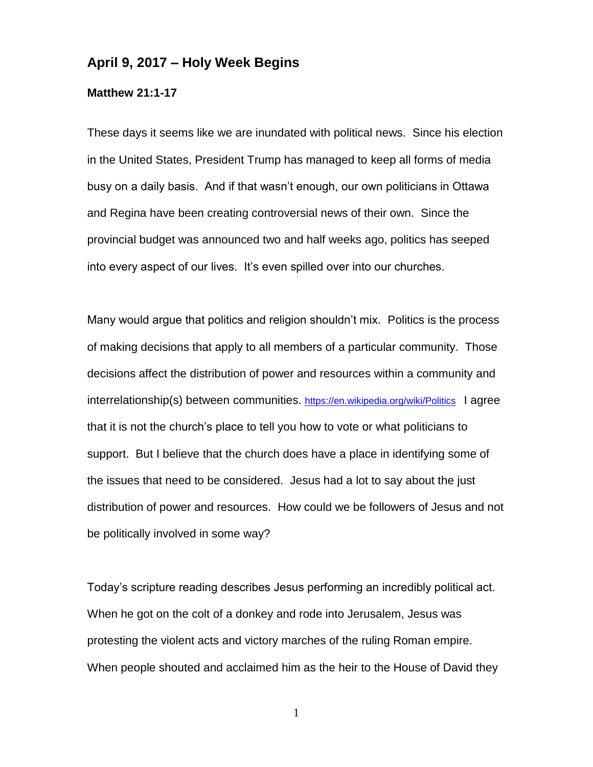## **April 9, 2017 – Holy Week Begins**

## **Matthew 21:1-17**

These days it seems like we are inundated with political news. Since his election in the United States, President Trump has managed to keep all forms of media busy on a daily basis. And if that wasn't enough, our own politicians in Ottawa and Regina have been creating controversial news of their own. Since the provincial budget was announced two and half weeks ago, politics has seeped into every aspect of our lives. It's even spilled over into our churches.

Many would argue that politics and religion shouldn't mix. Politics is the process of making decisions that apply to all members of a particular community. Those decisions affect the distribution of power and resources within a community and interrelationship(s) between communities. <https://en.wikipedia.org/wiki/Politics>I agree that it is not the church's place to tell you how to vote or what politicians to support. But I believe that the church does have a place in identifying some of the issues that need to be considered. Jesus had a lot to say about the just distribution of power and resources. How could we be followers of Jesus and not be politically involved in some way?

Today's scripture reading describes Jesus performing an incredibly political act. When he got on the colt of a donkey and rode into Jerusalem, Jesus was protesting the violent acts and victory marches of the ruling Roman empire. When people shouted and acclaimed him as the heir to the House of David they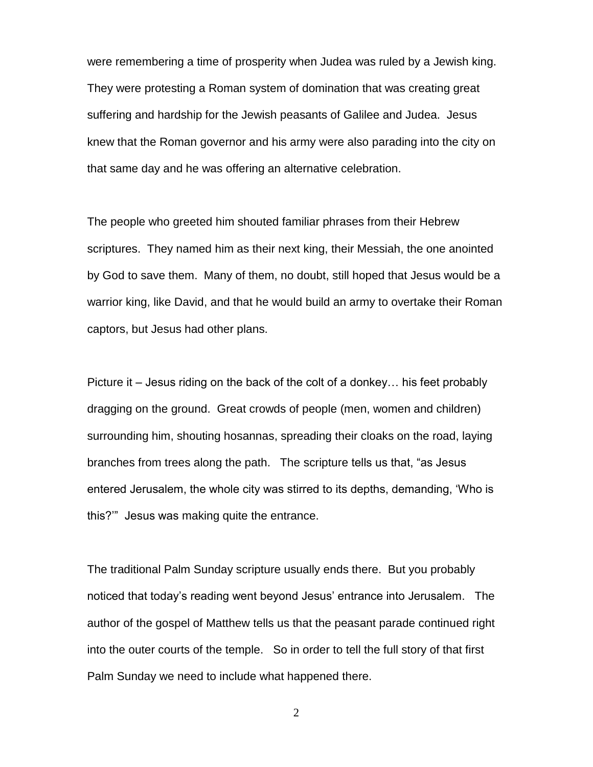were remembering a time of prosperity when Judea was ruled by a Jewish king. They were protesting a Roman system of domination that was creating great suffering and hardship for the Jewish peasants of Galilee and Judea. Jesus knew that the Roman governor and his army were also parading into the city on that same day and he was offering an alternative celebration.

The people who greeted him shouted familiar phrases from their Hebrew scriptures. They named him as their next king, their Messiah, the one anointed by God to save them. Many of them, no doubt, still hoped that Jesus would be a warrior king, like David, and that he would build an army to overtake their Roman captors, but Jesus had other plans.

Picture it – Jesus riding on the back of the colt of a donkey… his feet probably dragging on the ground. Great crowds of people (men, women and children) surrounding him, shouting hosannas, spreading their cloaks on the road, laying branches from trees along the path. The scripture tells us that, "as Jesus entered Jerusalem, the whole city was stirred to its depths, demanding, 'Who is this?'" Jesus was making quite the entrance.

The traditional Palm Sunday scripture usually ends there. But you probably noticed that today's reading went beyond Jesus' entrance into Jerusalem. The author of the gospel of Matthew tells us that the peasant parade continued right into the outer courts of the temple. So in order to tell the full story of that first Palm Sunday we need to include what happened there.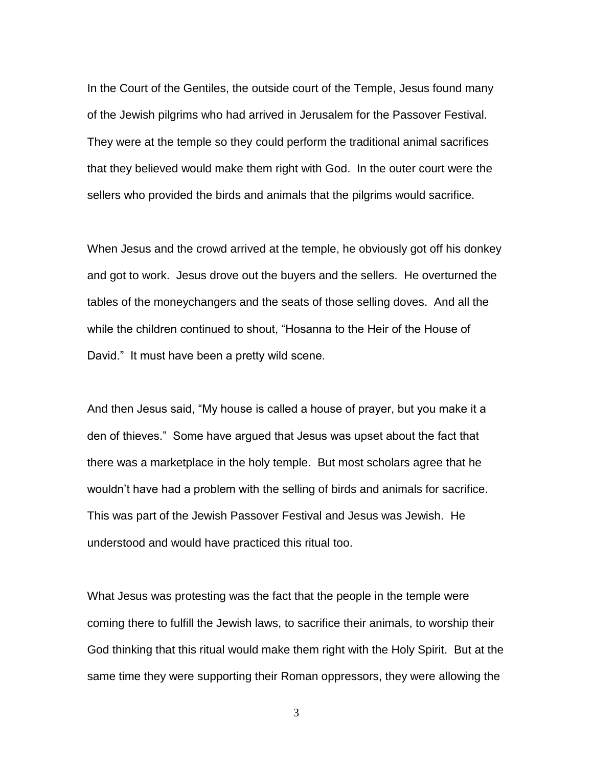In the Court of the Gentiles, the outside court of the Temple, Jesus found many of the Jewish pilgrims who had arrived in Jerusalem for the Passover Festival. They were at the temple so they could perform the traditional animal sacrifices that they believed would make them right with God. In the outer court were the sellers who provided the birds and animals that the pilgrims would sacrifice.

When Jesus and the crowd arrived at the temple, he obviously got off his donkey and got to work. Jesus drove out the buyers and the sellers. He overturned the tables of the moneychangers and the seats of those selling doves. And all the while the children continued to shout, "Hosanna to the Heir of the House of David." It must have been a pretty wild scene.

And then Jesus said, "My house is called a house of prayer, but you make it a den of thieves." Some have argued that Jesus was upset about the fact that there was a marketplace in the holy temple. But most scholars agree that he wouldn't have had a problem with the selling of birds and animals for sacrifice. This was part of the Jewish Passover Festival and Jesus was Jewish. He understood and would have practiced this ritual too.

What Jesus was protesting was the fact that the people in the temple were coming there to fulfill the Jewish laws, to sacrifice their animals, to worship their God thinking that this ritual would make them right with the Holy Spirit. But at the same time they were supporting their Roman oppressors, they were allowing the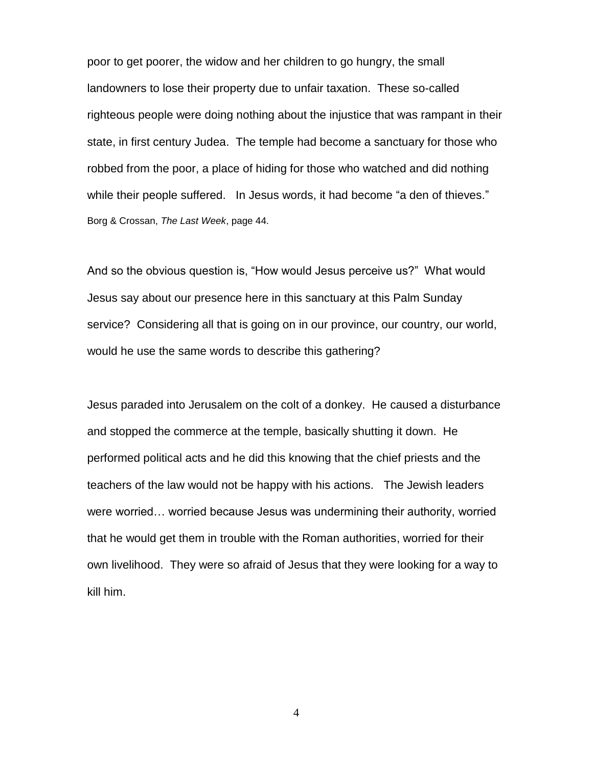poor to get poorer, the widow and her children to go hungry, the small landowners to lose their property due to unfair taxation. These so-called righteous people were doing nothing about the injustice that was rampant in their state, in first century Judea. The temple had become a sanctuary for those who robbed from the poor, a place of hiding for those who watched and did nothing while their people suffered. In Jesus words, it had become "a den of thieves." Borg & Crossan, *The Last Week*, page 44.

And so the obvious question is, "How would Jesus perceive us?" What would Jesus say about our presence here in this sanctuary at this Palm Sunday service? Considering all that is going on in our province, our country, our world, would he use the same words to describe this gathering?

Jesus paraded into Jerusalem on the colt of a donkey. He caused a disturbance and stopped the commerce at the temple, basically shutting it down. He performed political acts and he did this knowing that the chief priests and the teachers of the law would not be happy with his actions. The Jewish leaders were worried… worried because Jesus was undermining their authority, worried that he would get them in trouble with the Roman authorities, worried for their own livelihood. They were so afraid of Jesus that they were looking for a way to kill him.